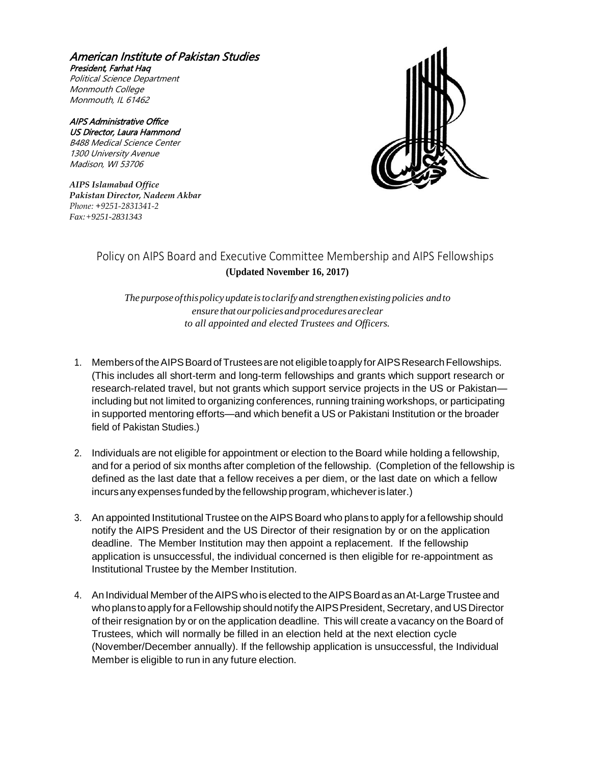American Institute of Pakistan Studies President, Farhat Haq Political Science Department Monmouth College Monmouth, IL 61462

AIPS Administrative Office US Director, Laura Hammond B488 Medical Science Center 1300 University Avenue Madison, WI 53706

*AIPS Islamabad Office Pakistan Director, Nadeem Akbar Phone: +9251-2831341-2 Fax:+9251-2831343*



## Policy on AIPS Board and Executive Committee Membership and AIPS Fellowships **(Updated November 16, 2017)**

*The purpose ofthispolicy updateistoclarify and strengthen existing policies andto ensure that ourpoliciesandproceduresareclear to all appointed and elected Trustees and Officers.*

- 1. Members of the AIPS Board of Trustees are not eligible to apply for AIPS Research Fellowships. (This includes all short-term and long-term fellowships and grants which support research or research-related travel, but not grants which support service projects in the US or Pakistan including but not limited to organizing conferences, running training workshops, or participating in supported mentoring efforts—and which benefit a US or Pakistani Institution or the broader field of Pakistan Studies.)
- 2. Individuals are not eligible for appointment or election to the Board while holding a fellowship, and for a period of six months after completion of the fellowship. (Completion of the fellowship is defined as the last date that a fellow receives a per diem, or the last date on which a fellow incursany expensesfundedby thefellowship program, whicheverislater.)
- 3. An appointed Institutional Trustee on theAIPS Board who plans to apply for afellowship should notify the AIPS President and the US Director of their resignation by or on the application deadline. The Member Institution may then appoint a replacement. If the fellowship application is unsuccessful, the individual concerned is then eligible for re-appointment as Institutional Trustee by the Member Institution.
- 4. An Individual Member of the AIPS who is elected to the AIPS Board as an At-Large Trustee and who plans to apply for a Fellowship should notify the AIPS President, Secretary, and US Director of their resignation by or on the application deadline. This will create a vacancy on the Board of Trustees, which will normally be filled in an election held at the next election cycle (November/December annually). If the fellowship application is unsuccessful, the Individual Member is eligible to run in any future election.